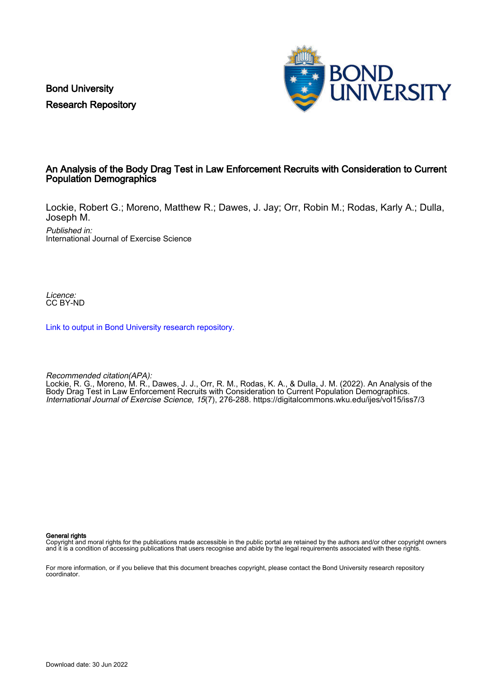Bond University Research Repository



#### An Analysis of the Body Drag Test in Law Enforcement Recruits with Consideration to Current Population Demographics

Lockie, Robert G.; Moreno, Matthew R.; Dawes, J. Jay; Orr, Robin M.; Rodas, Karly A.; Dulla, Joseph M.

Published in: International Journal of Exercise Science

Licence: CC BY-ND

[Link to output in Bond University research repository.](https://research.bond.edu.au/en/publications/c36635af-ca64-4570-a8ca-e29d9ce19e10)

Recommended citation(APA):

Lockie, R. G., Moreno, M. R., Dawes, J. J., Orr, R. M., Rodas, K. A., & Dulla, J. M. (2022). An Analysis of the Body Drag Test in Law Enforcement Recruits with Consideration to Current Population Demographics. International Journal of Exercise Science, 15(7), 276-288. <https://digitalcommons.wku.edu/ijes/vol15/iss7/3>

General rights

Copyright and moral rights for the publications made accessible in the public portal are retained by the authors and/or other copyright owners and it is a condition of accessing publications that users recognise and abide by the legal requirements associated with these rights.

For more information, or if you believe that this document breaches copyright, please contact the Bond University research repository coordinator.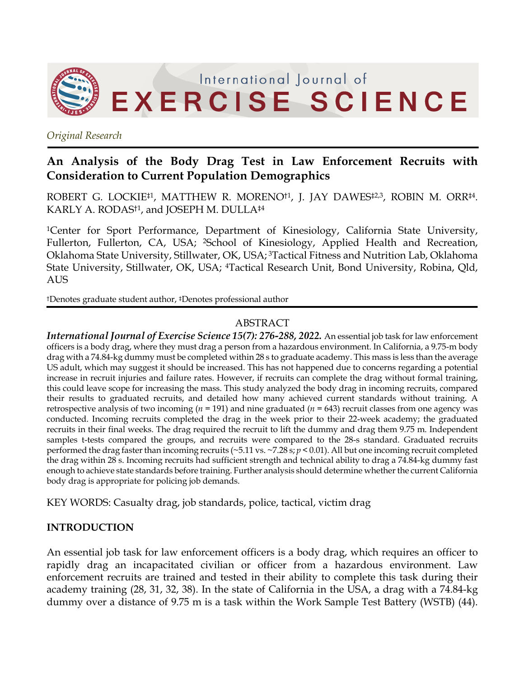

*Original Research*

# **An Analysis of the Body Drag Test in Law Enforcement Recruits with Consideration to Current Population Demographics**

ROBERT G. LOCKIE<sup>‡1</sup>, MATTHEW R. MORENO<sup>†1</sup>, J. JAY DAWES<sup>‡2,3</sup>, ROBIN M. ORR<sup>‡4</sup>. KARLY A. RODAS†1, and JOSEPH M. DULLA‡4

<sup>1</sup>Center for Sport Performance, Department of Kinesiology, California State University, Fullerton, Fullerton, CA, USA; 2School of Kinesiology, Applied Health and Recreation, Oklahoma State University, Stillwater, OK, USA; 3Tactical Fitness and Nutrition Lab, Oklahoma State University, Stillwater, OK, USA; 4Tactical Research Unit, Bond University, Robina, Qld, AUS

†Denotes graduate student author, ‡Denotes professional author

### ABSTRACT

*International Journal of Exercise Science 15(7): 276-288, 2022.* An essential job task for law enforcement officers is a body drag, where they must drag a person from a hazardous environment. In California, a 9.75-m body drag with a 74.84-kg dummy must be completed within 28 s to graduate academy. This mass is less than the average US adult, which may suggest it should be increased. This has not happened due to concerns regarding a potential increase in recruit injuries and failure rates. However, if recruits can complete the drag without formal training, this could leave scope for increasing the mass. This study analyzed the body drag in incoming recruits, compared their results to graduated recruits, and detailed how many achieved current standards without training. A retrospective analysis of two incoming (*n* = 191) and nine graduated (*n* = 643) recruit classes from one agency was conducted. Incoming recruits completed the drag in the week prior to their 22-week academy; the graduated recruits in their final weeks. The drag required the recruit to lift the dummy and drag them 9.75 m. Independent samples t-tests compared the groups, and recruits were compared to the 28-s standard. Graduated recruits performed the drag faster than incoming recruits (~5.11 vs. ~7.28 s; *p* < 0.01). All but one incoming recruit completed the drag within 28 s. Incoming recruits had sufficient strength and technical ability to drag a 74.84-kg dummy fast enough to achieve state standards before training. Further analysis should determine whether the current California body drag is appropriate for policing job demands.

KEY WORDS: Casualty drag, job standards, police, tactical, victim drag

# **INTRODUCTION**

An essential job task for law enforcement officers is a body drag, which requires an officer to rapidly drag an incapacitated civilian or officer from a hazardous environment. Law enforcement recruits are trained and tested in their ability to complete this task during their academy training (28, 31, 32, 38). In the state of California in the USA, a drag with a 74.84-kg dummy over a distance of 9.75 m is a task within the Work Sample Test Battery (WSTB) (44).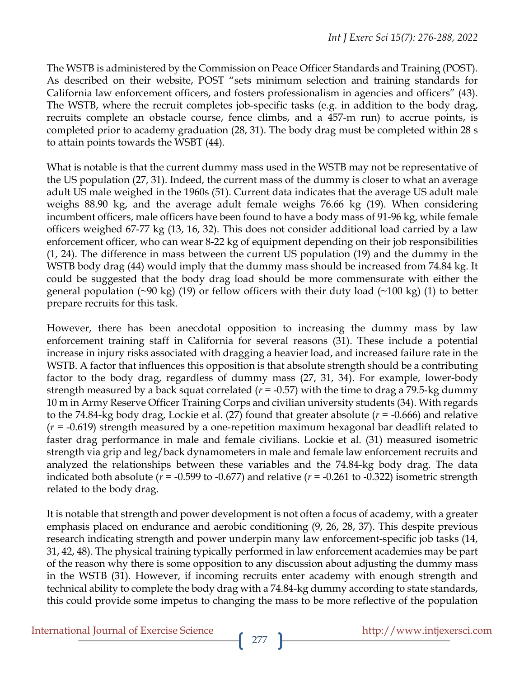The WSTB is administered by the Commission on Peace Officer Standards and Training (POST). As described on their website, POST "sets minimum selection and training standards for California law enforcement officers, and fosters professionalism in agencies and officers" (43). The WSTB, where the recruit completes job-specific tasks (e.g. in addition to the body drag, recruits complete an obstacle course, fence climbs, and a 457-m run) to accrue points, is completed prior to academy graduation (28, 31). The body drag must be completed within 28 s to attain points towards the WSBT (44).

What is notable is that the current dummy mass used in the WSTB may not be representative of the US population (27, 31). Indeed, the current mass of the dummy is closer to what an average adult US male weighed in the 1960s (51). Current data indicates that the average US adult male weighs 88.90 kg, and the average adult female weighs 76.66 kg (19). When considering incumbent officers, male officers have been found to have a body mass of 91-96 kg, while female officers weighed 67-77 kg (13, 16, 32). This does not consider additional load carried by a law enforcement officer, who can wear 8-22 kg of equipment depending on their job responsibilities (1, 24). The difference in mass between the current US population (19) and the dummy in the WSTB body drag (44) would imply that the dummy mass should be increased from 74.84 kg. It could be suggested that the body drag load should be more commensurate with either the general population (~90 kg) (19) or fellow officers with their duty load (~100 kg) (1) to better prepare recruits for this task.

However, there has been anecdotal opposition to increasing the dummy mass by law enforcement training staff in California for several reasons (31). These include a potential increase in injury risks associated with dragging a heavier load, and increased failure rate in the WSTB. A factor that influences this opposition is that absolute strength should be a contributing factor to the body drag, regardless of dummy mass (27, 31, 34). For example, lower-body strength measured by a back squat correlated (*r* = -0.57) with the time to drag a 79.5-kg dummy 10 m in Army Reserve Officer Training Corps and civilian university students (34). With regards to the 74.84-kg body drag, Lockie et al. (27) found that greater absolute (*r* = -0.666) and relative (*r* = -0.619) strength measured by a one-repetition maximum hexagonal bar deadlift related to faster drag performance in male and female civilians. Lockie et al. (31) measured isometric strength via grip and leg/back dynamometers in male and female law enforcement recruits and analyzed the relationships between these variables and the 74.84-kg body drag. The data indicated both absolute ( $r = -0.599$  to  $-0.677$ ) and relative ( $r = -0.261$  to  $-0.322$ ) isometric strength related to the body drag.

It is notable that strength and power development is not often a focus of academy, with a greater emphasis placed on endurance and aerobic conditioning (9, 26, 28, 37). This despite previous research indicating strength and power underpin many law enforcement-specific job tasks (14, 31, 42, 48). The physical training typically performed in law enforcement academies may be part of the reason why there is some opposition to any discussion about adjusting the dummy mass in the WSTB (31). However, if incoming recruits enter academy with enough strength and technical ability to complete the body drag with a 74.84-kg dummy according to state standards, this could provide some impetus to changing the mass to be more reflective of the population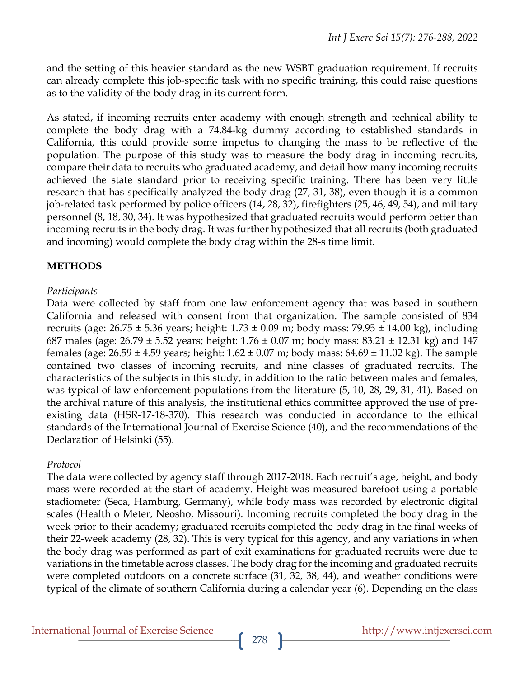and the setting of this heavier standard as the new WSBT graduation requirement. If recruits can already complete this job-specific task with no specific training, this could raise questions as to the validity of the body drag in its current form.

As stated, if incoming recruits enter academy with enough strength and technical ability to complete the body drag with a 74.84-kg dummy according to established standards in California, this could provide some impetus to changing the mass to be reflective of the population. The purpose of this study was to measure the body drag in incoming recruits, compare their data to recruits who graduated academy, and detail how many incoming recruits achieved the state standard prior to receiving specific training. There has been very little research that has specifically analyzed the body drag (27, 31, 38), even though it is a common job-related task performed by police officers (14, 28, 32), firefighters (25, 46, 49, 54), and military personnel (8, 18, 30, 34). It was hypothesized that graduated recruits would perform better than incoming recruits in the body drag. It was further hypothesized that all recruits (both graduated and incoming) would complete the body drag within the 28-s time limit.

# **METHODS**

### *Participants*

Data were collected by staff from one law enforcement agency that was based in southern California and released with consent from that organization. The sample consisted of 834 recruits (age:  $26.75 \pm 5.36$  years; height:  $1.73 \pm 0.09$  m; body mass:  $79.95 \pm 14.00$  kg), including 687 males (age:  $26.79 \pm 5.52$  years; height:  $1.76 \pm 0.07$  m; body mass:  $83.21 \pm 12.31$  kg) and  $147$ females (age:  $26.59 \pm 4.59$  years; height:  $1.62 \pm 0.07$  m; body mass:  $64.69 \pm 11.02$  kg). The sample contained two classes of incoming recruits, and nine classes of graduated recruits. The characteristics of the subjects in this study, in addition to the ratio between males and females, was typical of law enforcement populations from the literature (5, 10, 28, 29, 31, 41). Based on the archival nature of this analysis, the institutional ethics committee approved the use of preexisting data (HSR-17-18-370). This research was conducted in accordance to the ethical standards of the International Journal of Exercise Science (40), and the recommendations of the Declaration of Helsinki (55).

# *Protocol*

The data were collected by agency staff through 2017-2018. Each recruit's age, height, and body mass were recorded at the start of academy. Height was measured barefoot using a portable stadiometer (Seca, Hamburg, Germany), while body mass was recorded by electronic digital scales (Health o Meter, Neosho, Missouri). Incoming recruits completed the body drag in the week prior to their academy; graduated recruits completed the body drag in the final weeks of their 22-week academy (28, 32). This is very typical for this agency, and any variations in when the body drag was performed as part of exit examinations for graduated recruits were due to variations in the timetable across classes. The body drag for the incoming and graduated recruits were completed outdoors on a concrete surface (31, 32, 38, 44), and weather conditions were typical of the climate of southern California during a calendar year (6). Depending on the class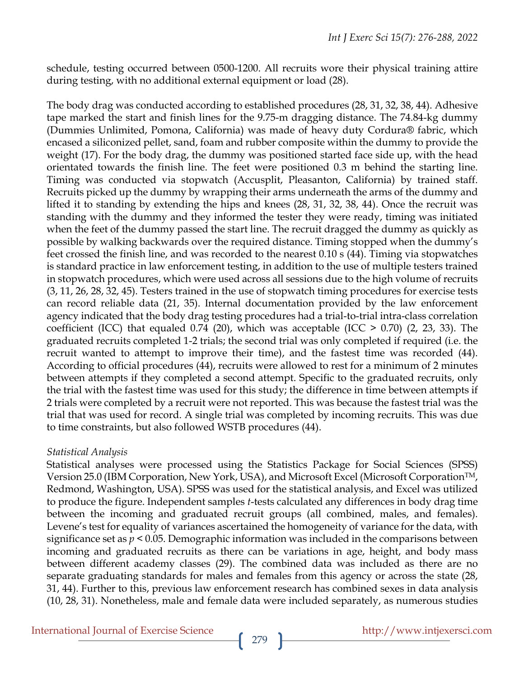schedule, testing occurred between 0500-1200. All recruits wore their physical training attire during testing, with no additional external equipment or load (28).

The body drag was conducted according to established procedures (28, 31, 32, 38, 44). Adhesive tape marked the start and finish lines for the 9.75-m dragging distance. The 74.84-kg dummy (Dummies Unlimited, Pomona, California) was made of heavy duty Cordura® fabric, which encased a siliconized pellet, sand, foam and rubber composite within the dummy to provide the weight (17). For the body drag, the dummy was positioned started face side up, with the head orientated towards the finish line. The feet were positioned 0.3 m behind the starting line. Timing was conducted via stopwatch (Accusplit, Pleasanton, California) by trained staff. Recruits picked up the dummy by wrapping their arms underneath the arms of the dummy and lifted it to standing by extending the hips and knees (28, 31, 32, 38, 44). Once the recruit was standing with the dummy and they informed the tester they were ready, timing was initiated when the feet of the dummy passed the start line. The recruit dragged the dummy as quickly as possible by walking backwards over the required distance. Timing stopped when the dummy's feet crossed the finish line, and was recorded to the nearest 0.10 s (44). Timing via stopwatches is standard practice in law enforcement testing, in addition to the use of multiple testers trained in stopwatch procedures, which were used across all sessions due to the high volume of recruits (3, 11, 26, 28, 32, 45). Testers trained in the use of stopwatch timing procedures for exercise tests can record reliable data (21, 35). Internal documentation provided by the law enforcement agency indicated that the body drag testing procedures had a trial-to-trial intra-class correlation coefficient (ICC) that equaled 0.74 (20), which was acceptable (ICC  $>$  0.70) (2, 23, 33). The graduated recruits completed 1-2 trials; the second trial was only completed if required (i.e. the recruit wanted to attempt to improve their time), and the fastest time was recorded (44). According to official procedures (44), recruits were allowed to rest for a minimum of 2 minutes between attempts if they completed a second attempt. Specific to the graduated recruits, only the trial with the fastest time was used for this study; the difference in time between attempts if 2 trials were completed by a recruit were not reported. This was because the fastest trial was the trial that was used for record. A single trial was completed by incoming recruits. This was due to time constraints, but also followed WSTB procedures (44).

#### *Statistical Analysis*

Statistical analyses were processed using the Statistics Package for Social Sciences (SPSS) Version 25.0 (IBM Corporation, New York, USA), and Microsoft Excel (Microsoft CorporationTM, Redmond, Washington, USA). SPSS was used for the statistical analysis, and Excel was utilized to produce the figure. Independent samples *t*-tests calculated any differences in body drag time between the incoming and graduated recruit groups (all combined, males, and females). Levene's test for equality of variances ascertained the homogeneity of variance for the data, with significance set as *p* < 0.05. Demographic information was included in the comparisons between incoming and graduated recruits as there can be variations in age, height, and body mass between different academy classes (29). The combined data was included as there are no separate graduating standards for males and females from this agency or across the state (28, 31, 44). Further to this, previous law enforcement research has combined sexes in data analysis (10, 28, 31). Nonetheless, male and female data were included separately, as numerous studies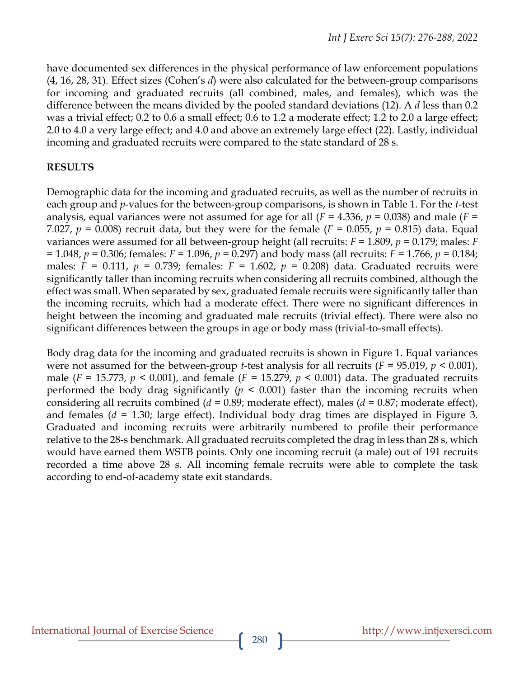have documented sex differences in the physical performance of law enforcement populations (4, 16, 28, 31). Effect sizes (Cohen's *d*) were also calculated for the between-group comparisons for incoming and graduated recruits (all combined, males, and females), which was the difference between the means divided by the pooled standard deviations (12). A *d* less than 0.2 was a trivial effect; 0.2 to 0.6 a small effect; 0.6 to 1.2 a moderate effect; 1.2 to 2.0 a large effect; 2.0 to 4.0 a very large effect; and 4.0 and above an extremely large effect (22). Lastly, individual incoming and graduated recruits were compared to the state standard of 28 s.

# **RESULTS**

Demographic data for the incoming and graduated recruits, as well as the number of recruits in each group and *p*-values for the between-group comparisons, is shown in Table 1. For the *t*-test analysis, equal variances were not assumed for age for all  $(F = 4.336, p = 0.038)$  and male  $(F =$ 7.027,  $p = 0.008$ ) recruit data, but they were for the female ( $F = 0.055$ ,  $p = 0.815$ ) data. Equal variances were assumed for all between-group height (all recruits: *F* = 1.809, *p* = 0.179; males: *F* = 1.048, *p* = 0.306; females: *F* = 1.096, *p* = 0.297) and body mass (all recruits: *F* = 1.766, *p* = 0.184; males:  $F = 0.111$ ,  $p = 0.739$ ; females:  $F = 1.602$ ,  $p = 0.208$ ) data. Graduated recruits were significantly taller than incoming recruits when considering all recruits combined, although the effect was small. When separated by sex, graduated female recruits were significantly taller than the incoming recruits, which had a moderate effect. There were no significant differences in height between the incoming and graduated male recruits (trivial effect). There were also no significant differences between the groups in age or body mass (trivial-to-small effects).

Body drag data for the incoming and graduated recruits is shown in Figure 1. Equal variances were not assumed for the between-group *t*-test analysis for all recruits (*F* = 95.019, *p* < 0.001), male ( $F = 15.773$ ,  $p < 0.001$ ), and female ( $F = 15.279$ ,  $p < 0.001$ ) data. The graduated recruits performed the body drag significantly  $(p \leq 0.001)$  faster than the incoming recruits when considering all recruits combined (*d* = 0.89; moderate effect), males (*d* = 0.87; moderate effect), and females (*d* = 1.30; large effect). Individual body drag times are displayed in Figure 3. Graduated and incoming recruits were arbitrarily numbered to profile their performance relative to the 28-s benchmark. All graduated recruits completed the drag in less than 28 s, which would have earned them WSTB points. Only one incoming recruit (a male) out of 191 recruits recorded a time above 28 s. All incoming female recruits were able to complete the task according to end-of-academy state exit standards.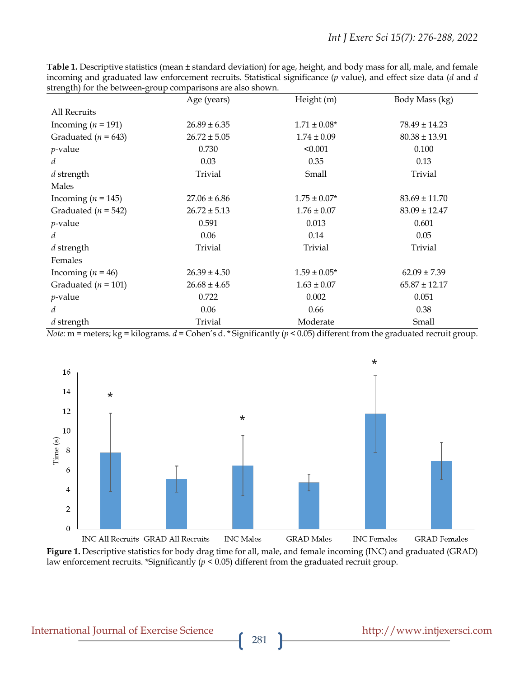|                         | Age (years)      | Height (m)       | Body Mass (kg)    |
|-------------------------|------------------|------------------|-------------------|
| All Recruits            |                  |                  |                   |
| Incoming $(n = 191)$    | $26.89 \pm 6.35$ | $1.71 \pm 0.08*$ | $78.49 \pm 14.23$ |
| Graduated ( $n = 643$ ) | $26.72 \pm 5.05$ | $1.74 \pm 0.09$  | $80.38 \pm 13.91$ |
| $p$ -value              | 0.730            | < 0.001          | 0.100             |
| d                       | 0.03             | 0.35             | 0.13              |
| d strength              | Trivial          | Small            | Trivial           |
| Males                   |                  |                  |                   |
| Incoming ( $n = 145$ )  | $27.06 \pm 6.86$ | $1.75 \pm 0.07*$ | $83.69 \pm 11.70$ |
| Graduated ( $n = 542$ ) | $26.72 \pm 5.13$ | $1.76 \pm 0.07$  | $83.09 \pm 12.47$ |
| <i>p</i> -value         | 0.591            | 0.013            | 0.601             |
| d                       | 0.06             | 0.14             | 0.05              |
| d strength              | Trivial          | Trivial          | Trivial           |
| Females                 |                  |                  |                   |
| Incoming $(n = 46)$     | $26.39 \pm 4.50$ | $1.59 \pm 0.05*$ | $62.09 \pm 7.39$  |
| Graduated ( $n = 101$ ) | $26.68 \pm 4.65$ | $1.63 \pm 0.07$  | $65.87 \pm 12.17$ |
| $p$ -value              | 0.722            | 0.002            | 0.051             |
| d                       | 0.06             | 0.66             | 0.38              |
| d strength              | Trivial          | Moderate         | Small             |

**Table 1.** Descriptive statistics (mean ± standard deviation) for age, height, and body mass for all, male, and female incoming and graduated law enforcement recruits. Statistical significance (*p* value), and effect size data (*d* and *d* strength) for the between-group comparisons are also shown.

*Note:* m = meters; kg = kilograms. *d* = Cohen's d. \* Significantly (*p* < 0.05) different from the graduated recruit group.



**Figure 1.** Descriptive statistics for body drag time for all, male, and female incoming (INC) and graduated (GRAD) law enforcement recruits. \*Significantly (*p* < 0.05) different from the graduated recruit group.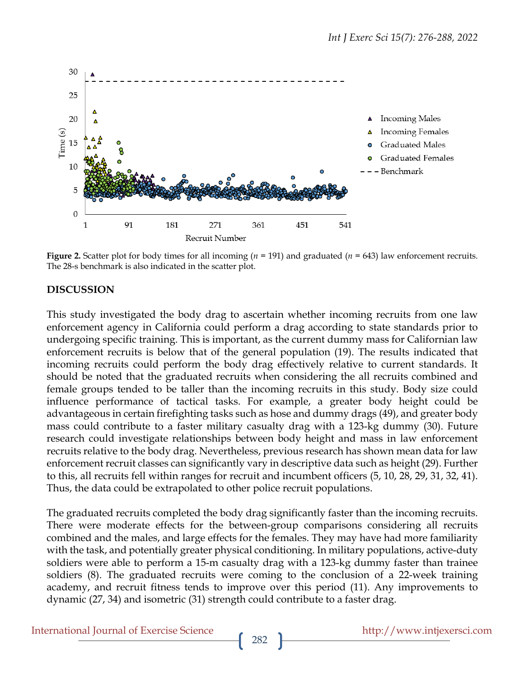

**Figure 2.** Scatter plot for body times for all incoming (*n* = 191) and graduated (*n* = 643) law enforcement recruits. The 28-s benchmark is also indicated in the scatter plot.

### **DISCUSSION**

This study investigated the body drag to ascertain whether incoming recruits from one law enforcement agency in California could perform a drag according to state standards prior to undergoing specific training. This is important, as the current dummy mass for Californian law enforcement recruits is below that of the general population (19). The results indicated that incoming recruits could perform the body drag effectively relative to current standards. It should be noted that the graduated recruits when considering the all recruits combined and female groups tended to be taller than the incoming recruits in this study. Body size could influence performance of tactical tasks. For example, a greater body height could be advantageous in certain firefighting tasks such as hose and dummy drags (49), and greater body mass could contribute to a faster military casualty drag with a 123-kg dummy (30). Future research could investigate relationships between body height and mass in law enforcement recruits relative to the body drag. Nevertheless, previous research has shown mean data for law enforcement recruit classes can significantly vary in descriptive data such as height (29). Further to this, all recruits fell within ranges for recruit and incumbent officers (5, 10, 28, 29, 31, 32, 41). Thus, the data could be extrapolated to other police recruit populations.

The graduated recruits completed the body drag significantly faster than the incoming recruits. There were moderate effects for the between-group comparisons considering all recruits combined and the males, and large effects for the females. They may have had more familiarity with the task, and potentially greater physical conditioning. In military populations, active-duty soldiers were able to perform a 15-m casualty drag with a 123-kg dummy faster than trainee soldiers (8). The graduated recruits were coming to the conclusion of a 22-week training academy, and recruit fitness tends to improve over this period (11). Any improvements to dynamic (27, 34) and isometric (31) strength could contribute to a faster drag.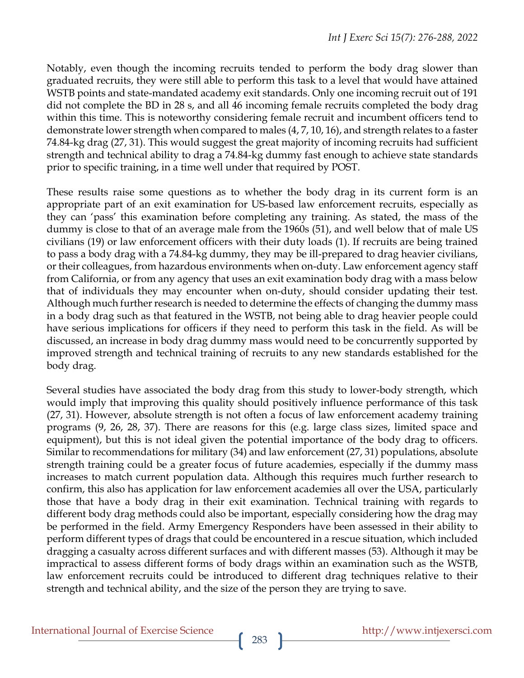Notably, even though the incoming recruits tended to perform the body drag slower than graduated recruits, they were still able to perform this task to a level that would have attained WSTB points and state-mandated academy exit standards. Only one incoming recruit out of 191 did not complete the BD in 28 s, and all 46 incoming female recruits completed the body drag within this time. This is noteworthy considering female recruit and incumbent officers tend to demonstrate lower strength when compared to males (4, 7, 10, 16), and strength relates to a faster 74.84-kg drag (27, 31). This would suggest the great majority of incoming recruits had sufficient strength and technical ability to drag a 74.84-kg dummy fast enough to achieve state standards prior to specific training, in a time well under that required by POST.

These results raise some questions as to whether the body drag in its current form is an appropriate part of an exit examination for US-based law enforcement recruits, especially as they can 'pass' this examination before completing any training. As stated, the mass of the dummy is close to that of an average male from the 1960s (51), and well below that of male US civilians (19) or law enforcement officers with their duty loads (1). If recruits are being trained to pass a body drag with a 74.84-kg dummy, they may be ill-prepared to drag heavier civilians, or their colleagues, from hazardous environments when on-duty. Law enforcement agency staff from California, or from any agency that uses an exit examination body drag with a mass below that of individuals they may encounter when on-duty, should consider updating their test. Although much further research is needed to determine the effects of changing the dummy mass in a body drag such as that featured in the WSTB, not being able to drag heavier people could have serious implications for officers if they need to perform this task in the field. As will be discussed, an increase in body drag dummy mass would need to be concurrently supported by improved strength and technical training of recruits to any new standards established for the body drag.

Several studies have associated the body drag from this study to lower-body strength, which would imply that improving this quality should positively influence performance of this task (27, 31). However, absolute strength is not often a focus of law enforcement academy training programs (9, 26, 28, 37). There are reasons for this (e.g. large class sizes, limited space and equipment), but this is not ideal given the potential importance of the body drag to officers. Similar to recommendations for military (34) and law enforcement (27, 31) populations, absolute strength training could be a greater focus of future academies, especially if the dummy mass increases to match current population data. Although this requires much further research to confirm, this also has application for law enforcement academies all over the USA, particularly those that have a body drag in their exit examination. Technical training with regards to different body drag methods could also be important, especially considering how the drag may be performed in the field. Army Emergency Responders have been assessed in their ability to perform different types of drags that could be encountered in a rescue situation, which included dragging a casualty across different surfaces and with different masses (53). Although it may be impractical to assess different forms of body drags within an examination such as the WSTB, law enforcement recruits could be introduced to different drag techniques relative to their strength and technical ability, and the size of the person they are trying to save.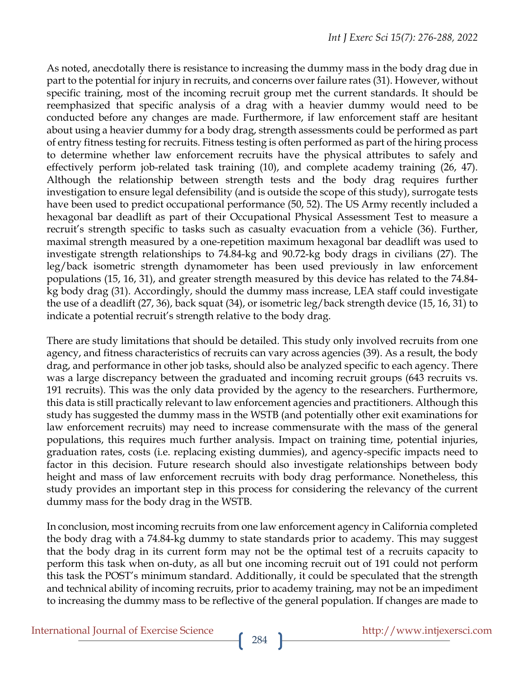As noted, anecdotally there is resistance to increasing the dummy mass in the body drag due in part to the potential for injury in recruits, and concerns over failure rates (31). However, without specific training, most of the incoming recruit group met the current standards. It should be reemphasized that specific analysis of a drag with a heavier dummy would need to be conducted before any changes are made. Furthermore, if law enforcement staff are hesitant about using a heavier dummy for a body drag, strength assessments could be performed as part of entry fitness testing for recruits. Fitness testing is often performed as part of the hiring process to determine whether law enforcement recruits have the physical attributes to safely and effectively perform job-related task training (10), and complete academy training (26, 47). Although the relationship between strength tests and the body drag requires further investigation to ensure legal defensibility (and is outside the scope of this study), surrogate tests have been used to predict occupational performance (50, 52). The US Army recently included a hexagonal bar deadlift as part of their Occupational Physical Assessment Test to measure a recruit's strength specific to tasks such as casualty evacuation from a vehicle (36). Further, maximal strength measured by a one-repetition maximum hexagonal bar deadlift was used to investigate strength relationships to 74.84-kg and 90.72-kg body drags in civilians (27). The leg/back isometric strength dynamometer has been used previously in law enforcement populations (15, 16, 31), and greater strength measured by this device has related to the 74.84 kg body drag (31). Accordingly, should the dummy mass increase, LEA staff could investigate the use of a deadlift (27, 36), back squat (34), or isometric leg/back strength device (15, 16, 31) to indicate a potential recruit's strength relative to the body drag.

There are study limitations that should be detailed*.* This study only involved recruits from one agency, and fitness characteristics of recruits can vary across agencies (39). As a result, the body drag, and performance in other job tasks, should also be analyzed specific to each agency. There was a large discrepancy between the graduated and incoming recruit groups (643 recruits vs. 191 recruits). This was the only data provided by the agency to the researchers. Furthermore, this data is still practically relevant to law enforcement agencies and practitioners. Although this study has suggested the dummy mass in the WSTB (and potentially other exit examinations for law enforcement recruits) may need to increase commensurate with the mass of the general populations, this requires much further analysis. Impact on training time, potential injuries, graduation rates, costs (i.e. replacing existing dummies), and agency-specific impacts need to factor in this decision. Future research should also investigate relationships between body height and mass of law enforcement recruits with body drag performance. Nonetheless, this study provides an important step in this process for considering the relevancy of the current dummy mass for the body drag in the WSTB.

In conclusion, most incoming recruits from one law enforcement agency in California completed the body drag with a 74.84-kg dummy to state standards prior to academy. This may suggest that the body drag in its current form may not be the optimal test of a recruits capacity to perform this task when on-duty, as all but one incoming recruit out of 191 could not perform this task the POST's minimum standard. Additionally, it could be speculated that the strength and technical ability of incoming recruits, prior to academy training, may not be an impediment to increasing the dummy mass to be reflective of the general population. If changes are made to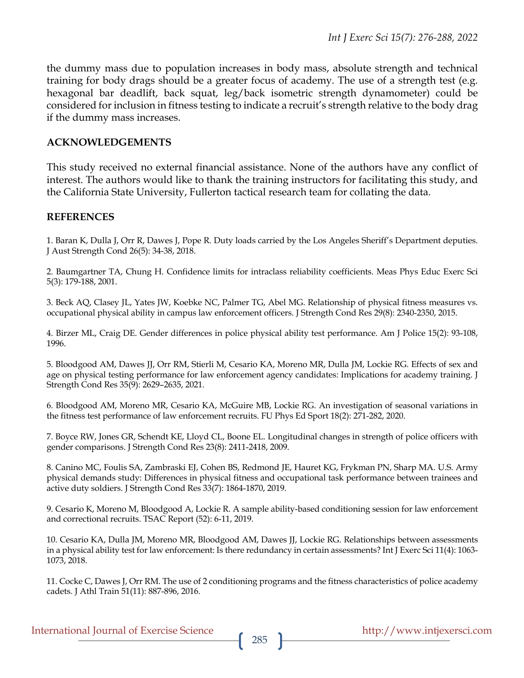the dummy mass due to population increases in body mass, absolute strength and technical training for body drags should be a greater focus of academy. The use of a strength test (e.g. hexagonal bar deadlift, back squat, leg/back isometric strength dynamometer) could be considered for inclusion in fitness testing to indicate a recruit's strength relative to the body drag if the dummy mass increases.

#### **ACKNOWLEDGEMENTS**

This study received no external financial assistance. None of the authors have any conflict of interest. The authors would like to thank the training instructors for facilitating this study, and the California State University, Fullerton tactical research team for collating the data.

#### **REFERENCES**

1. Baran K, Dulla J, Orr R, Dawes J, Pope R. Duty loads carried by the Los Angeles Sheriff's Department deputies. J Aust Strength Cond 26(5): 34-38, 2018.

2. Baumgartner TA, Chung H. Confidence limits for intraclass reliability coefficients. Meas Phys Educ Exerc Sci 5(3): 179-188, 2001.

3. Beck AQ, Clasey JL, Yates JW, Koebke NC, Palmer TG, Abel MG. Relationship of physical fitness measures vs. occupational physical ability in campus law enforcement officers. J Strength Cond Res 29(8): 2340-2350, 2015.

4. Birzer ML, Craig DE. Gender differences in police physical ability test performance. Am J Police 15(2): 93-108, 1996.

5. Bloodgood AM, Dawes JJ, Orr RM, Stierli M, Cesario KA, Moreno MR, Dulla JM, Lockie RG. Effects of sex and age on physical testing performance for law enforcement agency candidates: Implications for academy training. J Strength Cond Res 35(9): 2629–2635, 2021.

6. Bloodgood AM, Moreno MR, Cesario KA, McGuire MB, Lockie RG. An investigation of seasonal variations in the fitness test performance of law enforcement recruits. FU Phys Ed Sport 18(2): 271-282, 2020.

7. Boyce RW, Jones GR, Schendt KE, Lloyd CL, Boone EL. Longitudinal changes in strength of police officers with gender comparisons. J Strength Cond Res 23(8): 2411-2418, 2009.

8. Canino MC, Foulis SA, Zambraski EJ, Cohen BS, Redmond JE, Hauret KG, Frykman PN, Sharp MA. U.S. Army physical demands study: Differences in physical fitness and occupational task performance between trainees and active duty soldiers. J Strength Cond Res 33(7): 1864-1870, 2019.

9. Cesario K, Moreno M, Bloodgood A, Lockie R. A sample ability-based conditioning session for law enforcement and correctional recruits. TSAC Report (52): 6-11, 2019.

10. Cesario KA, Dulla JM, Moreno MR, Bloodgood AM, Dawes JJ, Lockie RG. Relationships between assessments in a physical ability test for law enforcement: Is there redundancy in certain assessments? Int J Exerc Sci 11(4): 1063- 1073, 2018.

11. Cocke C, Dawes J, Orr RM. The use of 2 conditioning programs and the fitness characteristics of police academy cadets. J Athl Train 51(11): 887-896, 2016.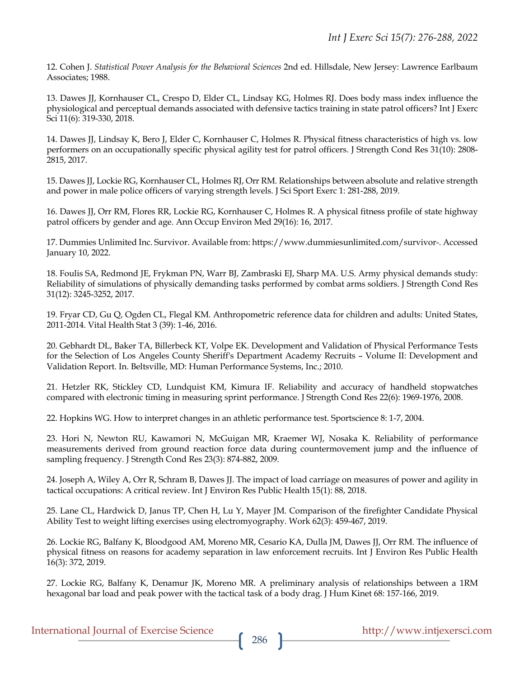12. Cohen J. *Statistical Power Analysis for the Behavioral Sciences* 2nd ed. Hillsdale, New Jersey: Lawrence Earlbaum Associates; 1988.

13. Dawes JJ, Kornhauser CL, Crespo D, Elder CL, Lindsay KG, Holmes RJ. Does body mass index influence the physiological and perceptual demands associated with defensive tactics training in state patrol officers? Int J Exerc Sci 11(6): 319-330, 2018.

14. Dawes JJ, Lindsay K, Bero J, Elder C, Kornhauser C, Holmes R. Physical fitness characteristics of high vs. low performers on an occupationally specific physical agility test for patrol officers. J Strength Cond Res 31(10): 2808- 2815, 2017.

15. Dawes JJ, Lockie RG, Kornhauser CL, Holmes RJ, Orr RM. Relationships between absolute and relative strength and power in male police officers of varying strength levels. J Sci Sport Exerc 1: 281-288, 2019.

16. Dawes JJ, Orr RM, Flores RR, Lockie RG, Kornhauser C, Holmes R. A physical fitness profile of state highway patrol officers by gender and age. Ann Occup Environ Med 29(16): 16, 2017.

17. Dummies Unlimited Inc. Survivor. Available from: https://www.dummiesunlimited.com/survivor-. Accessed January 10, 2022.

18. Foulis SA, Redmond JE, Frykman PN, Warr BJ, Zambraski EJ, Sharp MA. U.S. Army physical demands study: Reliability of simulations of physically demanding tasks performed by combat arms soldiers. J Strength Cond Res 31(12): 3245-3252, 2017.

19. Fryar CD, Gu Q, Ogden CL, Flegal KM. Anthropometric reference data for children and adults: United States, 2011-2014. Vital Health Stat 3 (39): 1-46, 2016.

20. Gebhardt DL, Baker TA, Billerbeck KT, Volpe EK. Development and Validation of Physical Performance Tests for the Selection of Los Angeles County Sheriff's Department Academy Recruits – Volume II: Development and Validation Report. In. Beltsville, MD: Human Performance Systems, Inc.; 2010.

21. Hetzler RK, Stickley CD, Lundquist KM, Kimura IF. Reliability and accuracy of handheld stopwatches compared with electronic timing in measuring sprint performance. J Strength Cond Res 22(6): 1969-1976, 2008.

22. Hopkins WG. How to interpret changes in an athletic performance test. Sportscience 8: 1-7, 2004.

23. Hori N, Newton RU, Kawamori N, McGuigan MR, Kraemer WJ, Nosaka K. Reliability of performance measurements derived from ground reaction force data during countermovement jump and the influence of sampling frequency. J Strength Cond Res 23(3): 874-882, 2009.

24. Joseph A, Wiley A, Orr R, Schram B, Dawes JJ. The impact of load carriage on measures of power and agility in tactical occupations: A critical review. Int J Environ Res Public Health 15(1): 88, 2018.

25. Lane CL, Hardwick D, Janus TP, Chen H, Lu Y, Mayer JM. Comparison of the firefighter Candidate Physical Ability Test to weight lifting exercises using electromyography. Work 62(3): 459-467, 2019.

26. Lockie RG, Balfany K, Bloodgood AM, Moreno MR, Cesario KA, Dulla JM, Dawes JJ, Orr RM. The influence of physical fitness on reasons for academy separation in law enforcement recruits. Int J Environ Res Public Health 16(3): 372, 2019.

27. Lockie RG, Balfany K, Denamur JK, Moreno MR. A preliminary analysis of relationships between a 1RM hexagonal bar load and peak power with the tactical task of a body drag. J Hum Kinet 68: 157-166, 2019.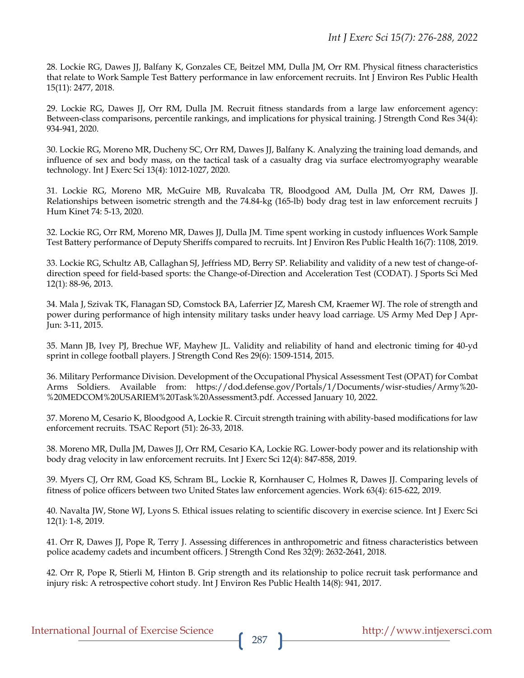28. Lockie RG, Dawes JJ, Balfany K, Gonzales CE, Beitzel MM, Dulla JM, Orr RM. Physical fitness characteristics that relate to Work Sample Test Battery performance in law enforcement recruits. Int J Environ Res Public Health 15(11): 2477, 2018.

29. Lockie RG, Dawes JJ, Orr RM, Dulla JM. Recruit fitness standards from a large law enforcement agency: Between-class comparisons, percentile rankings, and implications for physical training. J Strength Cond Res 34(4): 934-941, 2020.

30. Lockie RG, Moreno MR, Ducheny SC, Orr RM, Dawes JJ, Balfany K. Analyzing the training load demands, and influence of sex and body mass, on the tactical task of a casualty drag via surface electromyography wearable technology. Int J Exerc Sci 13(4): 1012-1027, 2020.

31. Lockie RG, Moreno MR, McGuire MB, Ruvalcaba TR, Bloodgood AM, Dulla JM, Orr RM, Dawes JJ. Relationships between isometric strength and the 74.84-kg (165-lb) body drag test in law enforcement recruits J Hum Kinet 74: 5-13, 2020.

32. Lockie RG, Orr RM, Moreno MR, Dawes JJ, Dulla JM. Time spent working in custody influences Work Sample Test Battery performance of Deputy Sheriffs compared to recruits. Int J Environ Res Public Health 16(7): 1108, 2019.

33. Lockie RG, Schultz AB, Callaghan SJ, Jeffriess MD, Berry SP. Reliability and validity of a new test of change-ofdirection speed for field-based sports: the Change-of-Direction and Acceleration Test (CODAT). J Sports Sci Med 12(1): 88-96, 2013.

34. Mala J, Szivak TK, Flanagan SD, Comstock BA, Laferrier JZ, Maresh CM, Kraemer WJ. The role of strength and power during performance of high intensity military tasks under heavy load carriage. US Army Med Dep J Apr-Jun: 3-11, 2015.

35. Mann JB, Ivey PJ, Brechue WF, Mayhew JL. Validity and reliability of hand and electronic timing for 40-yd sprint in college football players. J Strength Cond Res 29(6): 1509-1514, 2015.

36. Military Performance Division. Development of the Occupational Physical Assessment Test (OPAT) for Combat Arms Soldiers. Available from: https://dod.defense.gov/Portals/1/Documents/wisr-studies/Army%20- %20MEDCOM%20USARIEM%20Task%20Assessment3.pdf. Accessed January 10, 2022.

37. Moreno M, Cesario K, Bloodgood A, Lockie R. Circuit strength training with ability-based modifications for law enforcement recruits. TSAC Report (51): 26-33, 2018.

38. Moreno MR, Dulla JM, Dawes JJ, Orr RM, Cesario KA, Lockie RG. Lower-body power and its relationship with body drag velocity in law enforcement recruits. Int J Exerc Sci 12(4): 847-858, 2019.

39. Myers CJ, Orr RM, Goad KS, Schram BL, Lockie R, Kornhauser C, Holmes R, Dawes JJ. Comparing levels of fitness of police officers between two United States law enforcement agencies. Work 63(4): 615-622, 2019.

40. Navalta JW, Stone WJ, Lyons S. Ethical issues relating to scientific discovery in exercise science. Int J Exerc Sci 12(1): 1-8, 2019.

41. Orr R, Dawes JJ, Pope R, Terry J. Assessing differences in anthropometric and fitness characteristics between police academy cadets and incumbent officers. J Strength Cond Res 32(9): 2632-2641, 2018.

42. Orr R, Pope R, Stierli M, Hinton B. Grip strength and its relationship to police recruit task performance and injury risk: A retrospective cohort study. Int J Environ Res Public Health 14(8): 941, 2017.